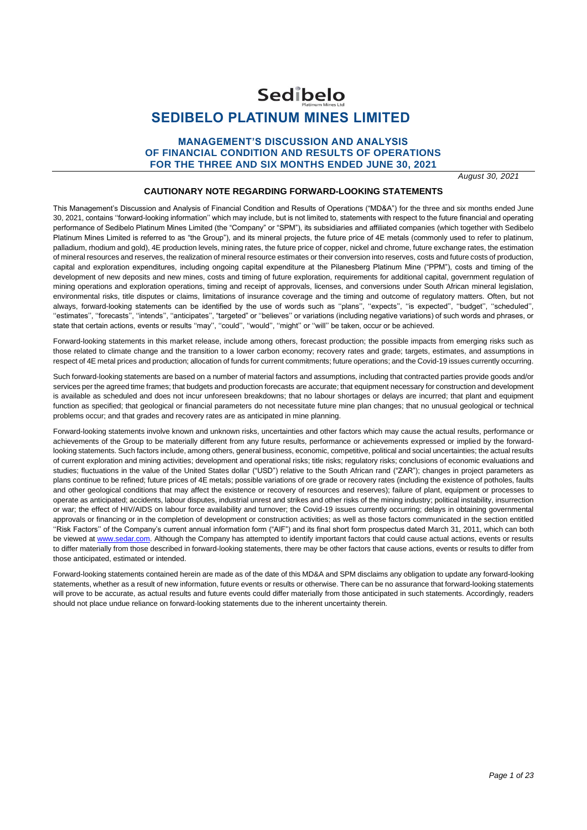# Sedibelo **SEDIBELO PLATINUM MINES LIMITED**

## **MANAGEMENT'S DISCUSSION AND ANALYSIS OF FINANCIAL CONDITION AND RESULTS OF OPERATIONS FOR THE THREE AND SIX MONTHS ENDED JUNE 30, 2021**

*August 30, 2021*

### **CAUTIONARY NOTE REGARDING FORWARD-LOOKING STATEMENTS**

This Management's Discussion and Analysis of Financial Condition and Results of Operations ("MD&A") for the three and six months ended June 30, 2021, contains ''forward-looking information'' which may include, but is not limited to, statements with respect to the future financial and operating performance of Sedibelo Platinum Mines Limited (the "Company" or "SPM"), its subsidiaries and affiliated companies (which together with Sedibelo Platinum Mines Limited is referred to as "the Group"), and its mineral projects, the future price of 4E metals (commonly used to refer to platinum, palladium, rhodium and gold), 4E production levels, mining rates, the future price of copper, nickel and chrome, future exchange rates, the estimation of mineral resources and reserves, the realization of mineral resource estimates or their conversion into reserves, costs and future costs of production, capital and exploration expenditures, including ongoing capital expenditure at the Pilanesberg Platinum Mine ("PPM"), costs and timing of the development of new deposits and new mines, costs and timing of future exploration, requirements for additional capital, government regulation of mining operations and exploration operations, timing and receipt of approvals, licenses, and conversions under South African mineral legislation, environmental risks, title disputes or claims, limitations of insurance coverage and the timing and outcome of regulatory matters. Often, but not always, forward-looking statements can be identified by the use of words such as ''plans'', ''expects'', ''is expected'', ''budget'', ''scheduled'', ''estimates'', ''forecasts'', ''intends'', ''anticipates'', "targeted" or ''believes'' or variations (including negative variations) of such words and phrases, or state that certain actions, events or results ''may'', ''could'', ''would'', ''might'' or ''will'' be taken, occur or be achieved.

Forward-looking statements in this market release, include among others, forecast production; the possible impacts from emerging risks such as those related to climate change and the transition to a lower carbon economy; recovery rates and grade; targets, estimates, and assumptions in respect of 4E metal prices and production; allocation of funds for current commitments; future operations; and the Covid-19 issues currently occurring.

Such forward-looking statements are based on a number of material factors and assumptions, including that contracted parties provide goods and/or services per the agreed time frames; that budgets and production forecasts are accurate; that equipment necessary for construction and development is available as scheduled and does not incur unforeseen breakdowns; that no labour shortages or delays are incurred; that plant and equipment function as specified; that geological or financial parameters do not necessitate future mine plan changes; that no unusual geological or technical problems occur; and that grades and recovery rates are as anticipated in mine planning.

Forward-looking statements involve known and unknown risks, uncertainties and other factors which may cause the actual results, performance or achievements of the Group to be materially different from any future results, performance or achievements expressed or implied by the forwardlooking statements. Such factors include, among others, general business, economic, competitive, political and social uncertainties; the actual results of current exploration and mining activities; development and operational risks; title risks; regulatory risks; conclusions of economic evaluations and studies; fluctuations in the value of the United States dollar ("USD") relative to the South African rand ("ZAR"); changes in project parameters as plans continue to be refined; future prices of 4E metals; possible variations of ore grade or recovery rates (including the existence of potholes, faults and other geological conditions that may affect the existence or recovery of resources and reserves); failure of plant, equipment or processes to operate as anticipated; accidents, labour disputes, industrial unrest and strikes and other risks of the mining industry; political instability, insurrection or war; the effect of HIV/AIDS on labour force availability and turnover; the Covid-19 issues currently occurring; delays in obtaining governmental approvals or financing or in the completion of development or construction activities; as well as those factors communicated in the section entitled ''Risk Factors'' of the Company's current annual information form ("AIF") and its final short form prospectus dated March 31, 2011, which can both be viewed at [www.sedar.com.](http://www.sedar.com/) Although the Company has attempted to identify important factors that could cause actual actions, events or results to differ materially from those described in forward-looking statements, there may be other factors that cause actions, events or results to differ from those anticipated, estimated or intended.

Forward-looking statements contained herein are made as of the date of this MD&A and SPM disclaims any obligation to update any forward-looking statements, whether as a result of new information, future events or results or otherwise. There can be no assurance that forward-looking statements will prove to be accurate, as actual results and future events could differ materially from those anticipated in such statements. Accordingly, readers should not place undue reliance on forward-looking statements due to the inherent uncertainty therein.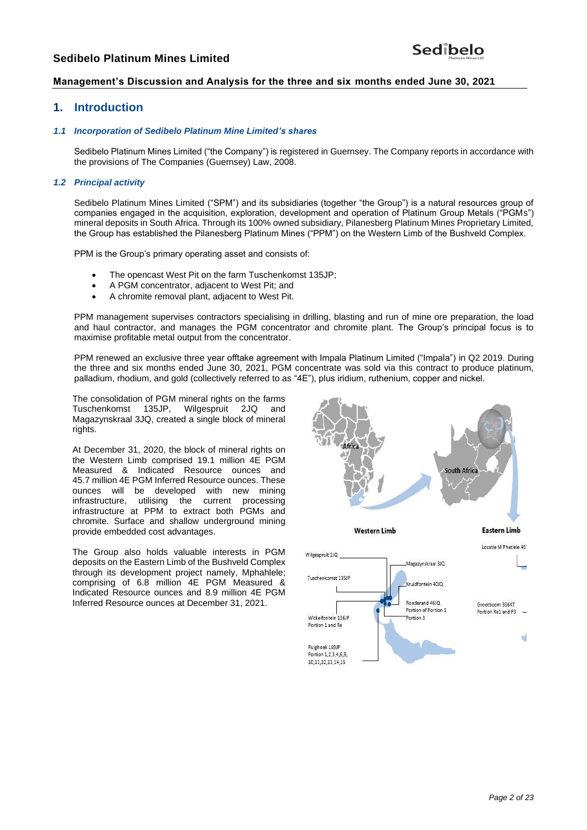# **Management's Discussion and Analysis for the three and six months ended June 30, 2021**

## **1. Introduction**

#### *1.1 Incorporation of Sedibelo Platinum Mine Limited's shares*

Sedibelo Platinum Mines Limited ("the Company") is registered in Guernsey. The Company reports in accordance with the provisions of The Companies (Guernsey) Law, 2008.

### *1.2 Principal activity*

Sedibelo Platinum Mines Limited ("SPM") and its subsidiaries (together "the Group") is a natural resources group of companies engaged in the acquisition, exploration, development and operation of Platinum Group Metals ("PGMs") mineral deposits in South Africa. Through its 100% owned subsidiary, Pilanesberg Platinum Mines Proprietary Limited, the Group has established the Pilanesberg Platinum Mines ("PPM") on the Western Limb of the Bushveld Complex.

PPM is the Group's primary operating asset and consists of:

- The opencast West Pit on the farm Tuschenkomst 135JP;
- A PGM concentrator, adjacent to West Pit; and
- A chromite removal plant, adjacent to West Pit.

PPM management supervises contractors specialising in drilling, blasting and run of mine ore preparation, the load and haul contractor, and manages the PGM concentrator and chromite plant. The Group's principal focus is to maximise profitable metal output from the concentrator.

PPM renewed an exclusive three year offtake agreement with Impala Platinum Limited ("Impala") in Q2 2019. During the three and six months ended June 30, 2021, PGM concentrate was sold via this contract to produce platinum, palladium, rhodium, and gold (collectively referred to as "4E"), plus iridium, ruthenium, copper and nickel.

The consolidation of PGM mineral rights on the farms<br>Tuschenkomst 135JP, Wilgespruit 2JQ and Tuschenkomst 135JP, Wilgespruit 2JQ and Magazynskraal 3JQ, created a single block of mineral rights.

At December 31, 2020, the block of mineral rights on the Western Limb comprised 19.1 million 4E PGM Measured & Indicated Resource ounces and 45.7 million 4E PGM Inferred Resource ounces. These ounces will be developed with new mining infrastructure, utilising the current processing infrastructure at PPM to extract both PGMs and chromite. Surface and shallow underground mining provide embedded cost advantages.

The Group also holds valuable interests in PGM deposits on the Eastern Limb of the Bushveld Complex through its development project namely, Mphahlele; comprising of 6.8 million 4E PGM Measured & Indicated Resource ounces and 8.9 million 4E PGM Inferred Resource ounces at December 31, 2021.

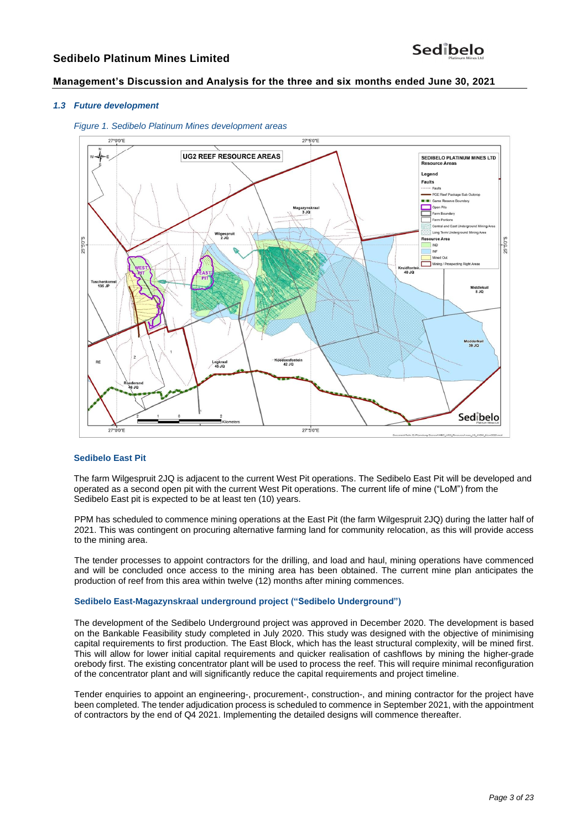## **Management's Discussion and Analysis for the three and six months ended June 30, 2021**

#### *1.3 Future development*





### **Sedibelo East Pit**

The farm Wilgespruit 2JQ is adjacent to the current West Pit operations. The Sedibelo East Pit will be developed and operated as a second open pit with the current West Pit operations. The current life of mine ("LoM") from the Sedibelo East pit is expected to be at least ten (10) years.

PPM has scheduled to commence mining operations at the East Pit (the farm Wilgespruit 2JQ) during the latter half of 2021. This was contingent on procuring alternative farming land for community relocation, as this will provide access to the mining area.

The tender processes to appoint contractors for the drilling, and load and haul, mining operations have commenced and will be concluded once access to the mining area has been obtained. The current mine plan anticipates the production of reef from this area within twelve (12) months after mining commences.

#### **Sedibelo East-Magazynskraal underground project ("Sedibelo Underground")**

The development of the Sedibelo Underground project was approved in December 2020. The development is based on the Bankable Feasibility study completed in July 2020. This study was designed with the objective of minimising capital requirements to first production. The East Block, which has the least structural complexity, will be mined first. This will allow for lower initial capital requirements and quicker realisation of cashflows by mining the higher-grade orebody first. The existing concentrator plant will be used to process the reef. This will require minimal reconfiguration of the concentrator plant and will significantly reduce the capital requirements and project timeline.

Tender enquiries to appoint an engineering-, procurement-, construction-, and mining contractor for the project have been completed. The tender adjudication process is scheduled to commence in September 2021, with the appointment of contractors by the end of Q4 2021. Implementing the detailed designs will commence thereafter.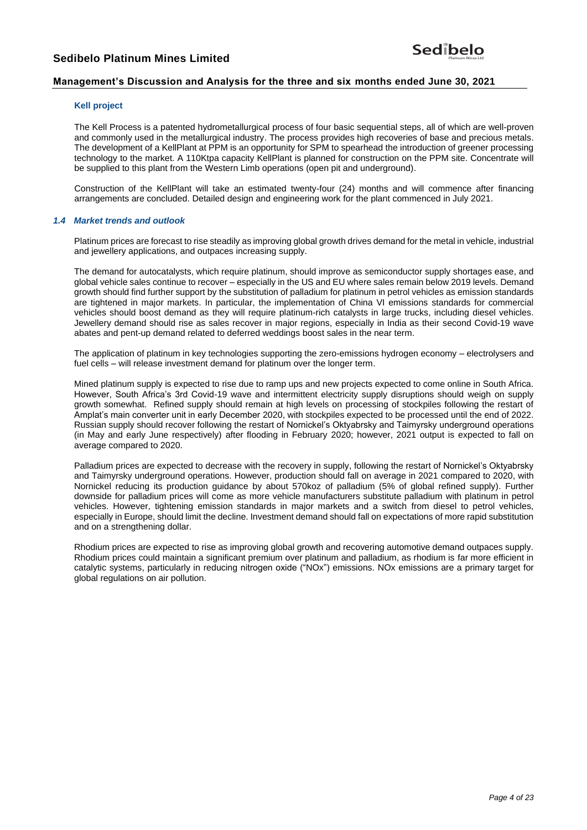## **Management's Discussion and Analysis for the three and six months ended June 30, 2021**

#### **Kell project**

The Kell Process is a patented hydrometallurgical process of four basic sequential steps, all of which are well-proven and commonly used in the metallurgical industry. The process provides high recoveries of base and precious metals. The development of a KellPlant at PPM is an opportunity for SPM to spearhead the introduction of greener processing technology to the market. A 110Ktpa capacity KellPlant is planned for construction on the PPM site. Concentrate will be supplied to this plant from the Western Limb operations (open pit and underground).

Construction of the KellPlant will take an estimated twenty-four (24) months and will commence after financing arrangements are concluded. Detailed design and engineering work for the plant commenced in July 2021.

#### *1.4 Market trends and outlook*

Platinum prices are forecast to rise steadily as improving global growth drives demand for the metal in vehicle, industrial and jewellery applications, and outpaces increasing supply.

The demand for autocatalysts, which require platinum, should improve as semiconductor supply shortages ease, and global vehicle sales continue to recover – especially in the US and EU where sales remain below 2019 levels. Demand growth should find further support by the substitution of palladium for platinum in petrol vehicles as emission standards are tightened in major markets. In particular, the implementation of China VI emissions standards for commercial vehicles should boost demand as they will require platinum-rich catalysts in large trucks, including diesel vehicles. Jewellery demand should rise as sales recover in major regions, especially in India as their second Covid-19 wave abates and pent-up demand related to deferred weddings boost sales in the near term.

The application of platinum in key technologies supporting the zero-emissions hydrogen economy – electrolysers and fuel cells – will release investment demand for platinum over the longer term.

Mined platinum supply is expected to rise due to ramp ups and new projects expected to come online in South Africa. However, South Africa's 3rd Covid-19 wave and intermittent electricity supply disruptions should weigh on supply growth somewhat. Refined supply should remain at high levels on processing of stockpiles following the restart of Amplat's main converter unit in early December 2020, with stockpiles expected to be processed until the end of 2022. Russian supply should recover following the restart of Nornickel's Oktyabrsky and Taimyrsky underground operations (in May and early June respectively) after flooding in February 2020; however, 2021 output is expected to fall on average compared to 2020.

Palladium prices are expected to decrease with the recovery in supply, following the restart of Nornickel's Oktyabrsky and Taimyrsky underground operations. However, production should fall on average in 2021 compared to 2020, with Nornickel reducing its production guidance by about 570koz of palladium (5% of global refined supply). Further downside for palladium prices will come as more vehicle manufacturers substitute palladium with platinum in petrol vehicles. However, tightening emission standards in major markets and a switch from diesel to petrol vehicles, especially in Europe, should limit the decline. Investment demand should fall on expectations of more rapid substitution and on a strengthening dollar.

Rhodium prices are expected to rise as improving global growth and recovering automotive demand outpaces supply. Rhodium prices could maintain a significant premium over platinum and palladium, as rhodium is far more efficient in catalytic systems, particularly in reducing nitrogen oxide ("NOx") emissions. NOx emissions are a primary target for global regulations on air pollution.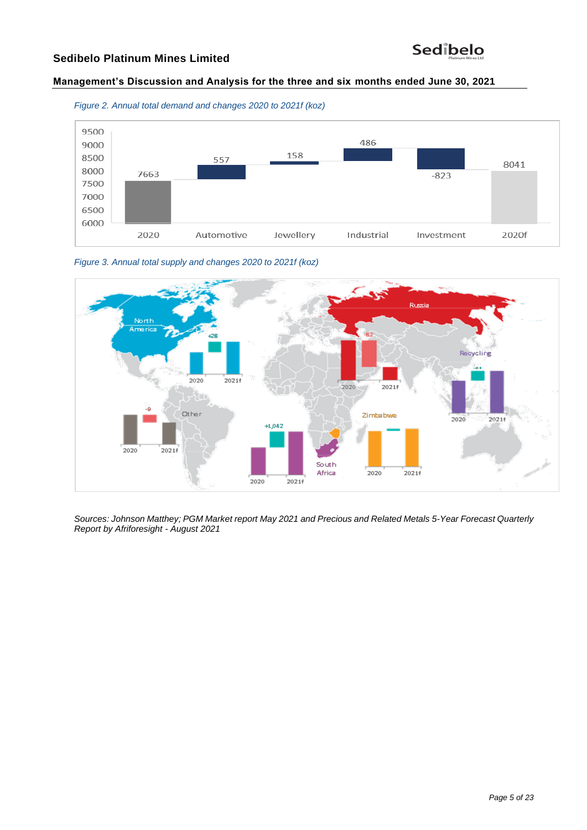# **Management's Discussion and Analysis for the three and six months ended June 30, 2021**







*Figure 3. Annual total supply and changes 2020 to 2021f (koz)*

*Sources: Johnson Matthey; PGM Market report May 2021 and Precious and Related Metals 5-Year Forecast Quarterly Report by Afriforesight - August 2021*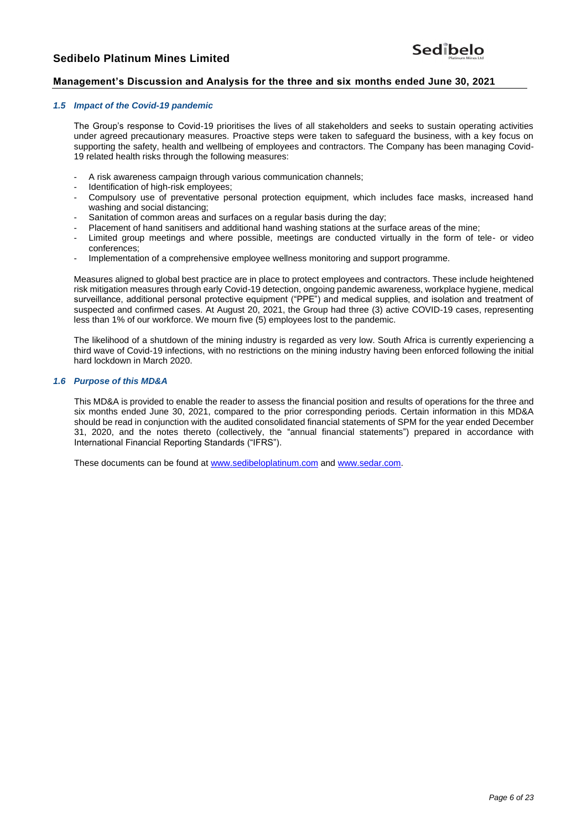## **Management's Discussion and Analysis for the three and six months ended June 30, 2021**

## *1.5 Impact of the Covid-19 pandemic*

The Group's response to Covid-19 prioritises the lives of all stakeholders and seeks to sustain operating activities under agreed precautionary measures. Proactive steps were taken to safeguard the business, with a key focus on supporting the safety, health and wellbeing of employees and contractors. The Company has been managing Covid-19 related health risks through the following measures:

- A risk awareness campaign through various communication channels;
- Identification of high-risk employees;
- Compulsory use of preventative personal protection equipment, which includes face masks, increased hand washing and social distancing;
- Sanitation of common areas and surfaces on a regular basis during the day;
- Placement of hand sanitisers and additional hand washing stations at the surface areas of the mine;
- Limited group meetings and where possible, meetings are conducted virtually in the form of tele- or video conferences;
- Implementation of a comprehensive employee wellness monitoring and support programme.

Measures aligned to global best practice are in place to protect employees and contractors. These include heightened risk mitigation measures through early Covid-19 detection, ongoing pandemic awareness, workplace hygiene, medical surveillance, additional personal protective equipment ("PPE") and medical supplies, and isolation and treatment of suspected and confirmed cases. At August 20, 2021, the Group had three (3) active COVID-19 cases, representing less than 1% of our workforce. We mourn five (5) employees lost to the pandemic.

The likelihood of a shutdown of the mining industry is regarded as very low. South Africa is currently experiencing a third wave of Covid-19 infections, with no restrictions on the mining industry having been enforced following the initial hard lockdown in March 2020.

#### *1.6 Purpose of this MD&A*

This MD&A is provided to enable the reader to assess the financial position and results of operations for the three and six months ended June 30, 2021, compared to the prior corresponding periods. Certain information in this MD&A should be read in conjunction with the audited consolidated financial statements of SPM for the year ended December 31, 2020, and the notes thereto (collectively, the "annual financial statements") prepared in accordance with International Financial Reporting Standards ("IFRS").

These documents can be found at [www.sedibeloplatinum.com](http://www.sedibeloplatinum.com/) an[d www.sedar.com.](http://www.sedar.com/)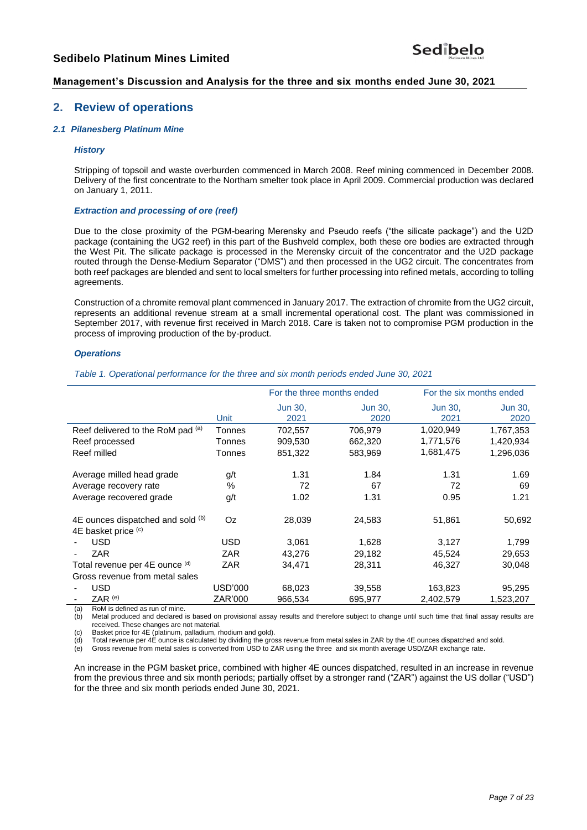## **Management's Discussion and Analysis for the three and six months ended June 30, 2021**

# **2. Review of operations**

#### *2.1 Pilanesberg Platinum Mine*

#### *History*

Stripping of topsoil and waste overburden commenced in March 2008. Reef mining commenced in December 2008. Delivery of the first concentrate to the Northam smelter took place in April 2009. Commercial production was declared on January 1, 2011.

#### *Extraction and processing of ore (reef)*

Due to the close proximity of the PGM-bearing Merensky and Pseudo reefs ("the silicate package") and the U2D package (containing the UG2 reef) in this part of the Bushveld complex, both these ore bodies are extracted through the West Pit. The silicate package is processed in the Merensky circuit of the concentrator and the U2D package routed through the Dense-Medium Separator ("DMS") and then processed in the UG2 circuit. The concentrates from both reef packages are blended and sent to local smelters for further processing into refined metals, according to tolling agreements.

Construction of a chromite removal plant commenced in January 2017. The extraction of chromite from the UG2 circuit, represents an additional revenue stream at a small incremental operational cost. The plant was commissioned in September 2017, with revenue first received in March 2018. Care is taken not to compromise PGM production in the process of improving production of the by-product.

#### *Operations*

*Table 1. Operational performance for the three and six month periods ended June 30, 2021*

|                                                          |            | For the three months ended |                 | For the six months ended |                        |
|----------------------------------------------------------|------------|----------------------------|-----------------|--------------------------|------------------------|
|                                                          | Unit       | <b>Jun 30,</b><br>2021     | Jun 30,<br>2020 | <b>Jun 30,</b><br>2021   | <b>Jun 30,</b><br>2020 |
| Reef delivered to the RoM pad (a)                        | Tonnes     | 702,557                    | 706,979         | 1,020,949                | 1,767,353              |
| Reef processed                                           | Tonnes     | 909,530                    | 662,320         | 1,771,576                | 1,420,934              |
| Reef milled                                              | Tonnes     | 851,322                    | 583,969         | 1,681,475                | 1,296,036              |
| Average milled head grade                                | g/t        | 1.31                       | 1.84            | 1.31                     | 1.69                   |
| Average recovery rate                                    | $\%$       | 72                         | 67              | 72                       | 69                     |
| Average recovered grade                                  | g/t        | 1.02                       | 1.31            | 0.95                     | 1.21                   |
| 4E ounces dispatched and sold (b)<br>4E basket price (c) | Oz.        | 28,039                     | 24,583          | 51,861                   | 50,692                 |
| <b>USD</b>                                               | USD        | 3,061                      | 1,628           | 3,127                    | 1,799                  |
| <b>ZAR</b>                                               | <b>ZAR</b> | 43,276                     | 29,182          | 45,524                   | 29,653                 |
| Total revenue per 4E ounce (d)                           | ZAR        | 34,471                     | 28,311          | 46,327                   | 30,048                 |
| Gross revenue from metal sales                           |            |                            |                 |                          |                        |
| USD                                                      | USD'000    | 68,023                     | 39,558          | 163,823                  | 95,295                 |
| $ZAR$ <sup>(e)</sup>                                     | ZAR'000    | 966,534                    | 695,977         | 2,402,579                | 1,523,207              |

(a) RoM is defined as run of mine.

(b) Metal produced and declared is based on provisional assay results and therefore subject to change until such time that final assay results are received. These changes are not material.

(c) Basket price for 4E (platinum, palladium, rhodium and gold).

(d) Total revenue per 4E ounce is calculated by dividing the gross revenue from metal sales in ZAR by the 4E ounces dispatched and sold.

(e) Gross revenue from metal sales is converted from USD to ZAR using the three and six month average USD/ZAR exchange rate.

An increase in the PGM basket price, combined with higher 4E ounces dispatched, resulted in an increase in revenue from the previous three and six month periods; partially offset by a stronger rand ("ZAR") against the US dollar ("USD") for the three and six month periods ended June 30, 2021.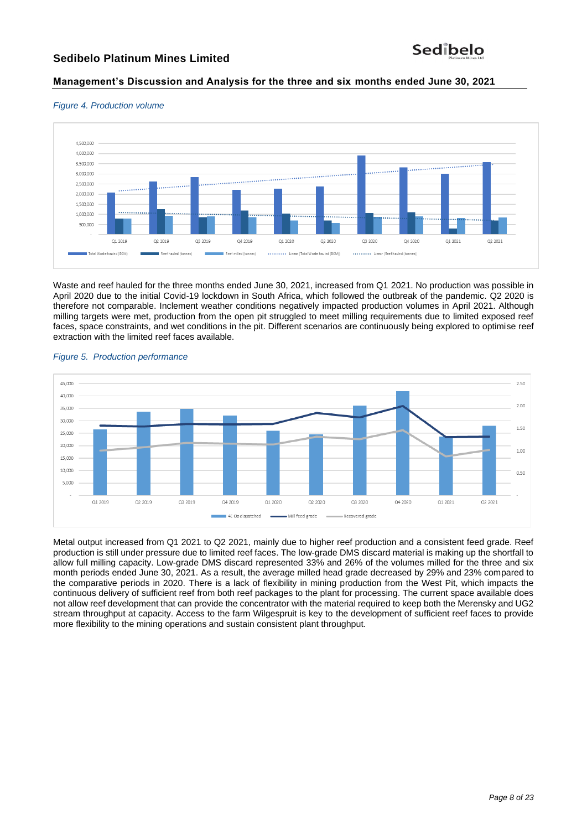# **Management's Discussion and Analysis for the three and six months ended June 30, 2021**





Waste and reef hauled for the three months ended June 30, 2021, increased from Q1 2021. No production was possible in April 2020 due to the initial Covid-19 lockdown in South Africa, which followed the outbreak of the pandemic. Q2 2020 is therefore not comparable. Inclement weather conditions negatively impacted production volumes in April 2021. Although milling targets were met, production from the open pit struggled to meet milling requirements due to limited exposed reef faces, space constraints, and wet conditions in the pit. Different scenarios are continuously being explored to optimise reef extraction with the limited reef faces available.



#### *Figure 5. Production performance*

Metal output increased from Q1 2021 to Q2 2021, mainly due to higher reef production and a consistent feed grade. Reef production is still under pressure due to limited reef faces. The low-grade DMS discard material is making up the shortfall to allow full milling capacity. Low-grade DMS discard represented 33% and 26% of the volumes milled for the three and six month periods ended June 30, 2021. As a result, the average milled head grade decreased by 29% and 23% compared to the comparative periods in 2020. There is a lack of flexibility in mining production from the West Pit, which impacts the continuous delivery of sufficient reef from both reef packages to the plant for processing. The current space available does not allow reef development that can provide the concentrator with the material required to keep both the Merensky and UG2 stream throughput at capacity. Access to the farm Wilgespruit is key to the development of sufficient reef faces to provide more flexibility to the mining operations and sustain consistent plant throughput.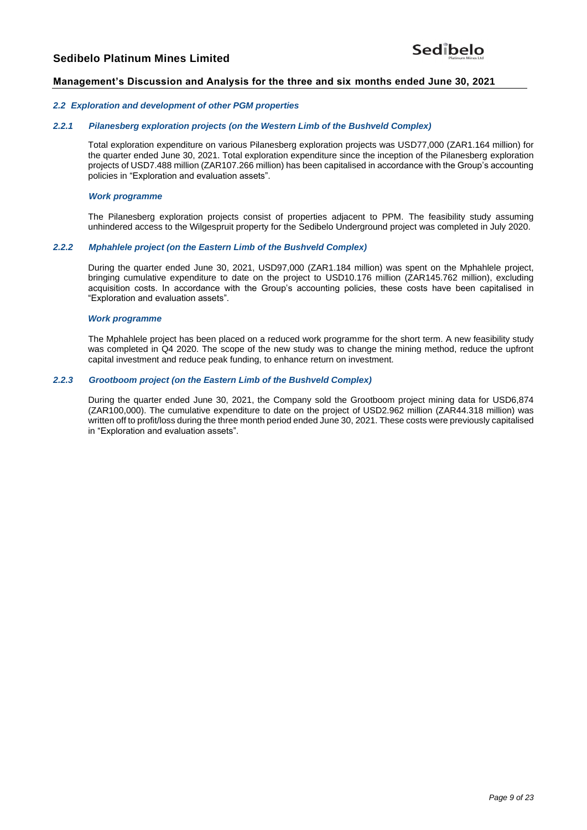# Sedibelo

## **Management's Discussion and Analysis for the three and six months ended June 30, 2021**

#### *2.2 Exploration and development of other PGM properties*

#### *2.2.1 Pilanesberg exploration projects (on the Western Limb of the Bushveld Complex)*

Total exploration expenditure on various Pilanesberg exploration projects was USD77,000 (ZAR1.164 million) for the quarter ended June 30, 2021. Total exploration expenditure since the inception of the Pilanesberg exploration projects of USD7.488 million (ZAR107.266 million) has been capitalised in accordance with the Group's accounting policies in "Exploration and evaluation assets".

#### *Work programme*

The Pilanesberg exploration projects consist of properties adjacent to PPM. The feasibility study assuming unhindered access to the Wilgespruit property for the Sedibelo Underground project was completed in July 2020.

#### *2.2.2 Mphahlele project (on the Eastern Limb of the Bushveld Complex)*

During the quarter ended June 30, 2021, USD97,000 (ZAR1.184 million) was spent on the Mphahlele project, bringing cumulative expenditure to date on the project to USD10.176 million (ZAR145.762 million), excluding acquisition costs. In accordance with the Group's accounting policies, these costs have been capitalised in "Exploration and evaluation assets".

#### *Work programme*

The Mphahlele project has been placed on a reduced work programme for the short term. A new feasibility study was completed in Q4 2020. The scope of the new study was to change the mining method, reduce the upfront capital investment and reduce peak funding, to enhance return on investment.

#### *2.2.3 Grootboom project (on the Eastern Limb of the Bushveld Complex)*

During the quarter ended June 30, 2021, the Company sold the Grootboom project mining data for USD6,874 (ZAR100,000). The cumulative expenditure to date on the project of USD2.962 million (ZAR44.318 million) was written off to profit/loss during the three month period ended June 30, 2021. These costs were previously capitalised in "Exploration and evaluation assets".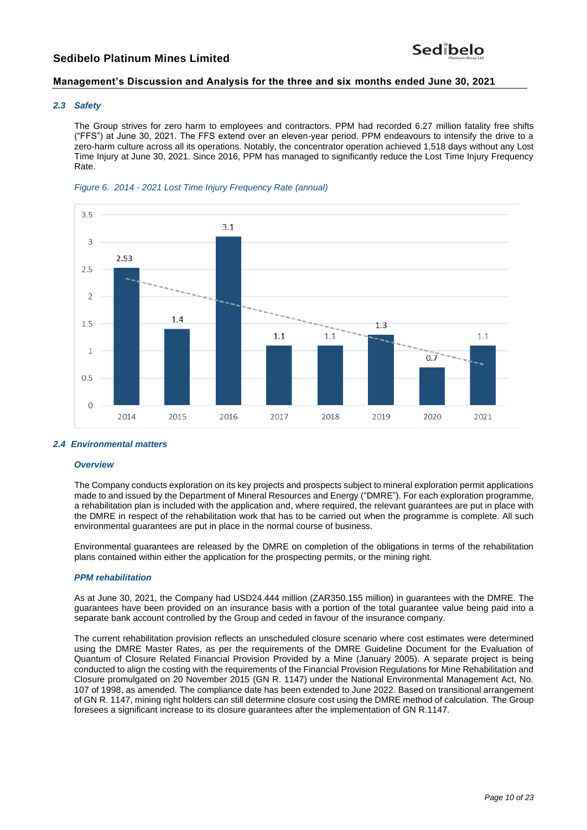# **Management's Discussion and Analysis for the three and six months ended June 30, 2021**

## *2.3 Safety*

The Group strives for zero harm to employees and contractors. PPM had recorded 6.27 million fatality free shifts ("FFS") at June 30, 2021. The FFS extend over an eleven-year period. PPM endeavours to intensify the drive to a zero-harm culture across all its operations. Notably, the concentrator operation achieved 1,518 days without any Lost Time Injury at June 30, 2021. Since 2016, PPM has managed to significantly reduce the Lost Time Injury Frequency Rate.





## *2.4 Environmental matters*

#### *Overview*

The Company conducts exploration on its key projects and prospects subject to mineral exploration permit applications made to and issued by the Department of Mineral Resources and Energy ("DMRE"). For each exploration programme, a rehabilitation plan is included with the application and, where required, the relevant guarantees are put in place with the DMRE in respect of the rehabilitation work that has to be carried out when the programme is complete. All such environmental guarantees are put in place in the normal course of business.

Environmental guarantees are released by the DMRE on completion of the obligations in terms of the rehabilitation plans contained within either the application for the prospecting permits, or the mining right.

#### *PPM rehabilitation*

As at June 30, 2021, the Company had USD24.444 million (ZAR350.155 million) in guarantees with the DMRE. The guarantees have been provided on an insurance basis with a portion of the total guarantee value being paid into a separate bank account controlled by the Group and ceded in favour of the insurance company.

The current rehabilitation provision reflects an unscheduled closure scenario where cost estimates were determined using the DMRE Master Rates, as per the requirements of the DMRE Guideline Document for the Evaluation of Quantum of Closure Related Financial Provision Provided by a Mine (January 2005). A separate project is being conducted to align the costing with the requirements of the Financial Provision Regulations for Mine Rehabilitation and Closure promulgated on 20 November 2015 (GN R. 1147) under the National Environmental Management Act, No. 107 of 1998, as amended. The compliance date has been extended to June 2022. Based on transitional arrangement of GN R. 1147, mining right holders can still determine closure cost using the DMRE method of calculation. The Group foresees a significant increase to its closure guarantees after the implementation of GN R.1147.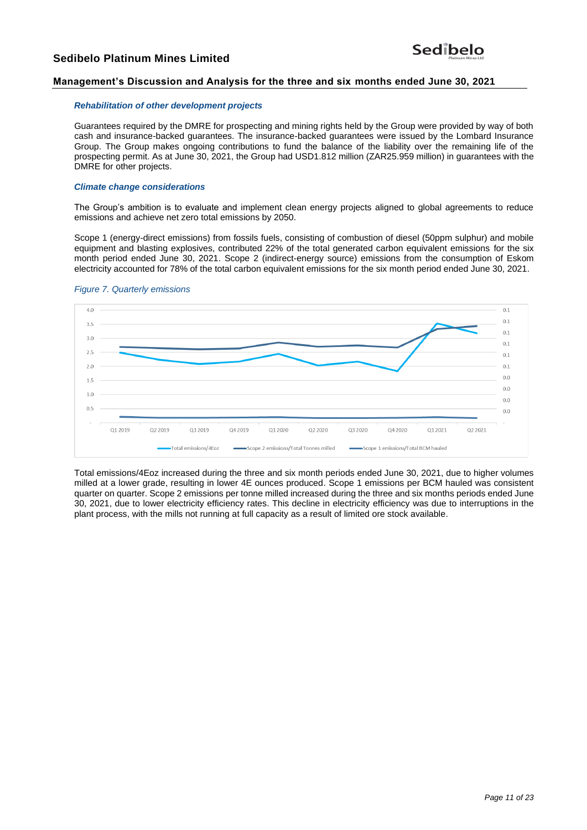## **Management's Discussion and Analysis for the three and six months ended June 30, 2021**

#### *Rehabilitation of other development projects*

Guarantees required by the DMRE for prospecting and mining rights held by the Group were provided by way of both cash and insurance-backed guarantees. The insurance-backed guarantees were issued by the Lombard Insurance Group. The Group makes ongoing contributions to fund the balance of the liability over the remaining life of the prospecting permit. As at June 30, 2021, the Group had USD1.812 million (ZAR25.959 million) in guarantees with the DMRE for other projects.

## *Climate change considerations*

The Group's ambition is to evaluate and implement clean energy projects aligned to global agreements to reduce emissions and achieve net zero total emissions by 2050.

Scope 1 (energy-direct emissions) from fossils fuels, consisting of combustion of diesel (50ppm sulphur) and mobile equipment and blasting explosives, contributed 22% of the total generated carbon equivalent emissions for the six month period ended June 30, 2021. Scope 2 (indirect-energy source) emissions from the consumption of Eskom electricity accounted for 78% of the total carbon equivalent emissions for the six month period ended June 30, 2021.



#### *Figure 7. Quarterly emissions*

Total emissions/4Eoz increased during the three and six month periods ended June 30, 2021, due to higher volumes milled at a lower grade, resulting in lower 4E ounces produced. Scope 1 emissions per BCM hauled was consistent quarter on quarter. Scope 2 emissions per tonne milled increased during the three and six months periods ended June 30, 2021, due to lower electricity efficiency rates. This decline in electricity efficiency was due to interruptions in the plant process, with the mills not running at full capacity as a result of limited ore stock available.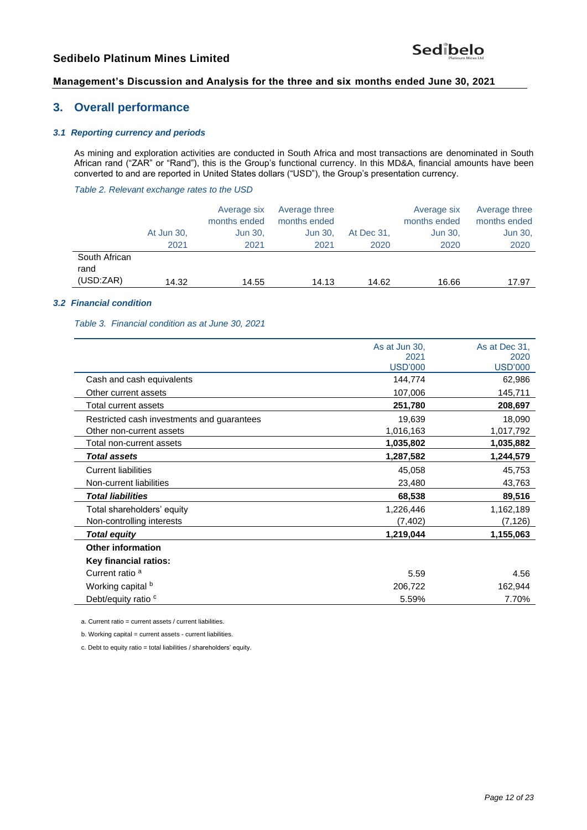# **Management's Discussion and Analysis for the three and six months ended June 30, 2021**

# **3. Overall performance**

## *3.1 Reporting currency and periods*

As mining and exploration activities are conducted in South Africa and most transactions are denominated in South African rand ("ZAR" or "Rand"), this is the Group's functional currency. In this MD&A, financial amounts have been converted to and are reported in United States dollars ("USD"), the Group's presentation currency.

*Table 2. Relevant exchange rates to the USD* 

|                                    | At Jun 30,<br>2021 | Average six<br>months ended<br>Jun 30,<br>2021 | Average three<br>months ended<br>Jun 30,<br>2021 | At Dec 31,<br>2020 | Average six<br>months ended<br>Jun 30,<br>2020 | Average three<br>months ended<br>Jun 30,<br>2020 |
|------------------------------------|--------------------|------------------------------------------------|--------------------------------------------------|--------------------|------------------------------------------------|--------------------------------------------------|
| South African<br>rand<br>(USD:ZAR) | 14.32              | 14.55                                          | 14.13                                            | 14.62              | 16.66                                          | 17.97                                            |

#### *3.2 Financial condition*

*Table 3. Financial condition as at June 30, 2021*

|                                            | As at Jun 30,  | As at Dec 31.  |
|--------------------------------------------|----------------|----------------|
|                                            | 2021           | 2020           |
|                                            | <b>USD'000</b> | <b>USD'000</b> |
| Cash and cash equivalents                  | 144,774        | 62,986         |
| Other current assets                       | 107,006        | 145,711        |
| Total current assets                       | 251,780        | 208,697        |
| Restricted cash investments and guarantees | 19,639         | 18,090         |
| Other non-current assets                   | 1,016,163      | 1,017,792      |
| Total non-current assets                   | 1,035,802      | 1,035,882      |
| <b>Total assets</b>                        | 1,287,582      | 1,244,579      |
| <b>Current liabilities</b>                 | 45,058         | 45,753         |
| Non-current liabilities                    | 23,480         | 43,763         |
| <b>Total liabilities</b>                   | 68,538         | 89,516         |
| Total shareholders' equity                 | 1,226,446      | 1,162,189      |
| Non-controlling interests                  | (7, 402)       | (7, 126)       |
| <b>Total equity</b>                        | 1,219,044      | 1,155,063      |
| <b>Other information</b>                   |                |                |
| Key financial ratios:                      |                |                |
| Current ratio <sup>a</sup>                 | 5.59           | 4.56           |
| Working capital b                          | 206,722        | 162,944        |
| Debt/equity ratio <sup>c</sup>             | 5.59%          | 7.70%          |

a. Current ratio = current assets / current liabilities.

b. Working capital = current assets - current liabilities.

c. Debt to equity ratio = total liabilities / shareholders' equity.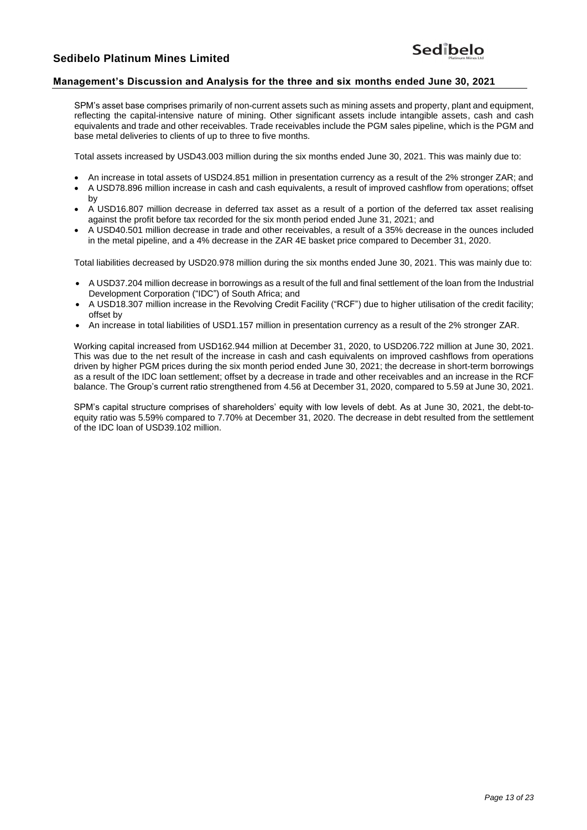# Sedibelo

## **Management's Discussion and Analysis for the three and six months ended June 30, 2021**

SPM's asset base comprises primarily of non-current assets such as mining assets and property, plant and equipment, reflecting the capital-intensive nature of mining. Other significant assets include intangible assets, cash and cash equivalents and trade and other receivables. Trade receivables include the PGM sales pipeline, which is the PGM and base metal deliveries to clients of up to three to five months.

Total assets increased by USD43.003 million during the six months ended June 30, 2021. This was mainly due to:

- An increase in total assets of USD24.851 million in presentation currency as a result of the 2% stronger ZAR; and
- A USD78.896 million increase in cash and cash equivalents, a result of improved cashflow from operations; offset by
- A USD16.807 million decrease in deferred tax asset as a result of a portion of the deferred tax asset realising against the profit before tax recorded for the six month period ended June 31, 2021; and
- A USD40.501 million decrease in trade and other receivables, a result of a 35% decrease in the ounces included in the metal pipeline, and a 4% decrease in the ZAR 4E basket price compared to December 31, 2020.

Total liabilities decreased by USD20.978 million during the six months ended June 30, 2021. This was mainly due to:

- A USD37.204 million decrease in borrowings as a result of the full and final settlement of the loan from the Industrial Development Corporation ("IDC") of South Africa; and
- A USD18.307 million increase in the Revolving Credit Facility ("RCF") due to higher utilisation of the credit facility; offset by
- An increase in total liabilities of USD1.157 million in presentation currency as a result of the 2% stronger ZAR.

Working capital increased from USD162.944 million at December 31, 2020, to USD206.722 million at June 30, 2021. This was due to the net result of the increase in cash and cash equivalents on improved cashflows from operations driven by higher PGM prices during the six month period ended June 30, 2021; the decrease in short-term borrowings as a result of the IDC loan settlement; offset by a decrease in trade and other receivables and an increase in the RCF balance. The Group's current ratio strengthened from 4.56 at December 31, 2020, compared to 5.59 at June 30, 2021.

SPM's capital structure comprises of shareholders' equity with low levels of debt. As at June 30, 2021, the debt-toequity ratio was 5.59% compared to 7.70% at December 31, 2020. The decrease in debt resulted from the settlement of the IDC loan of USD39.102 million.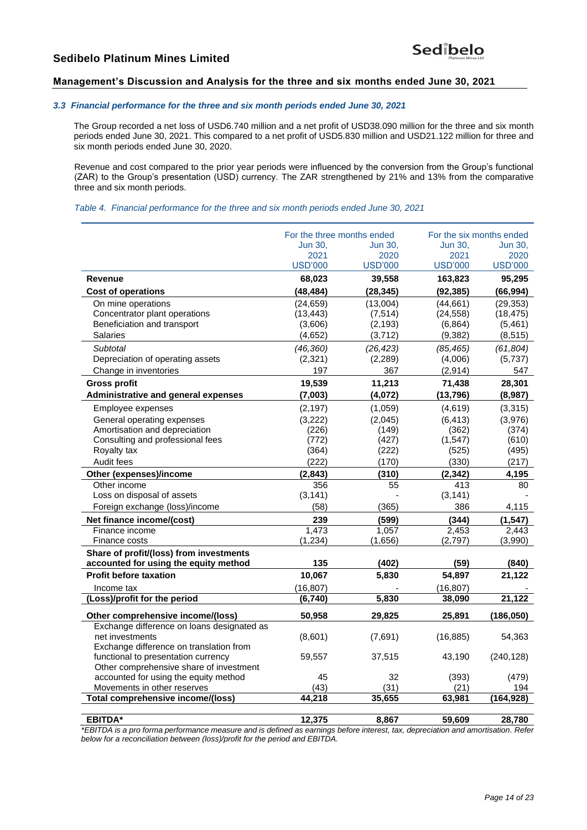## **Management's Discussion and Analysis for the three and six months ended June 30, 2021**

#### *3.3 Financial performance for the three and six month periods ended June 30, 2021*

The Group recorded a net loss of USD6.740 million and a net profit of USD38.090 million for the three and six month periods ended June 30, 2021. This compared to a net profit of USD5.830 million and USD21.122 million for three and six month periods ended June 30, 2020.

Revenue and cost compared to the prior year periods were influenced by the conversion from the Group's functional (ZAR) to the Group's presentation (USD) currency. The ZAR strengthened by 21% and 13% from the comparative three and six month periods.

*Table 4. Financial performance for the three and six month periods ended June 30, 2021*

|                                            | For the three months ended |                | For the six months ended |                |
|--------------------------------------------|----------------------------|----------------|--------------------------|----------------|
|                                            | <b>Jun 30.</b>             | <b>Jun 30.</b> | <b>Jun 30.</b>           | <b>Jun 30.</b> |
|                                            | 2021                       | 2020           | 2021                     | 2020           |
|                                            | <b>USD'000</b>             | <b>USD'000</b> | <b>USD'000</b>           | <b>USD'000</b> |
| Revenue                                    | 68,023                     | 39,558         | 163,823                  | 95,295         |
| <b>Cost of operations</b>                  | (48, 484)                  | (28, 345)      | (92, 385)                | (66, 994)      |
| On mine operations                         | (24, 659)                  | (13,004)       | (44, 661)                | (29, 353)      |
| Concentrator plant operations              | (13, 443)                  | (7, 514)       | (24, 558)                | (18, 475)      |
| Beneficiation and transport                | (3,606)                    | (2, 193)       | (6, 864)                 | (5,461)        |
| <b>Salaries</b>                            | (4,652)                    | (3,712)        | (9, 382)                 | (8, 515)       |
| Subtotal                                   | (46, 360)                  | (26, 423)      | (85, 465)                | (61, 804)      |
| Depreciation of operating assets           | (2,321)                    | (2, 289)       | (4,006)                  | (5,737)        |
| Change in inventories                      | 197                        | 367            | (2,914)                  | 547            |
| <b>Gross profit</b>                        | 19,539                     | 11,213         | 71,438                   | 28,301         |
| Administrative and general expenses        | (7,003)                    | (4,072)        | (13, 796)                | (8,987)        |
| Employee expenses                          | (2, 197)                   | (1,059)        | (4,619)                  | (3,315)        |
| General operating expenses                 | (3,222)                    | (2,045)        | (6, 413)                 | (3,976)        |
| Amortisation and depreciation              | (226)                      | (149)          | (362)                    | (374)          |
| Consulting and professional fees           | (772)                      | (427)          | (1, 547)                 | (610)          |
| Royalty tax                                | (364)                      | (222)          | (525)                    | (495)          |
| Audit fees                                 | (222)                      | (170)          | (330)                    | (217)          |
| Other (expenses)/income                    | (2, 843)                   | (310)          | (2, 342)                 | 4,195          |
| Other income                               | 356                        | 55             | 413                      | 80             |
| Loss on disposal of assets                 | (3, 141)                   |                | (3, 141)                 |                |
| Foreign exchange (loss)/income             | (58)                       | (365)          | 386                      | 4,115          |
| Net finance income/(cost)                  | 239                        | (599)          | (344)                    | (1, 547)       |
| Finance income                             | 1,473                      | 1,057          | 2,453                    | 2,443          |
| Finance costs                              | (1, 234)                   | (1,656)        | (2,797)                  | (3,990)        |
| Share of profit/(loss) from investments    |                            |                |                          |                |
| accounted for using the equity method      | 135                        | (402)          | (59)                     | (840)          |
| <b>Profit before taxation</b>              | 10,067                     | 5,830          | 54,897                   | 21,122         |
| Income tax                                 | (16, 807)                  |                | (16, 807)                |                |
| (Loss)/profit for the period               | (6,740)                    | 5,830          | 38,090                   | 21,122         |
| Other comprehensive income/(loss)          | 50,958                     | 29,825         | 25,891                   | (186, 050)     |
| Exchange difference on loans designated as |                            |                |                          |                |
| net investments                            | (8,601)                    | (7,691)        | (16, 885)                | 54,363         |
| Exchange difference on translation from    |                            |                |                          |                |
| functional to presentation currency        | 59,557                     | 37,515         | 43,190                   | (240, 128)     |
| Other comprehensive share of investment    |                            |                |                          |                |
| accounted for using the equity method      | 45                         | 32             | (393)                    | (479)          |
| Movements in other reserves                | (43)                       | (31)           | (21)                     | 194            |
| <b>Total comprehensive income/(loss)</b>   | 44,218                     | 35,655         | 63,981                   | (164, 928)     |
| <b>EBITDA*</b>                             | 12.375                     | 8.867          | 59,609                   | 28,780         |

*\*EBITDA is a pro forma performance measure and is defined as earnings before interest, tax, depreciation and amortisation. Refer below for a reconciliation between (loss)/profit for the period and EBITDA.*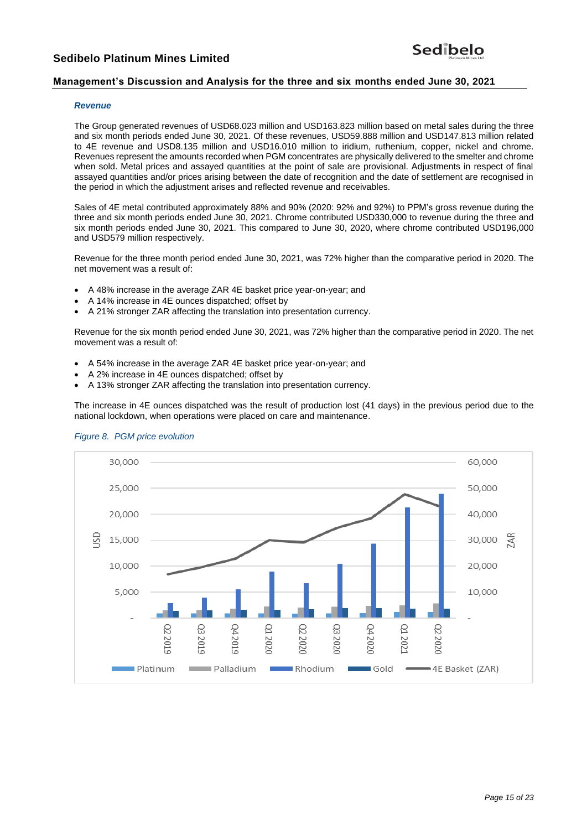# **Management's Discussion and Analysis for the three and six months ended June 30, 2021**

#### *Revenue*

The Group generated revenues of USD68.023 million and USD163.823 million based on metal sales during the three and six month periods ended June 30, 2021. Of these revenues, USD59.888 million and USD147.813 million related to 4E revenue and USD8.135 million and USD16.010 million to iridium, ruthenium, copper, nickel and chrome. Revenues represent the amounts recorded when PGM concentrates are physically delivered to the smelter and chrome when sold. Metal prices and assayed quantities at the point of sale are provisional. Adjustments in respect of final assayed quantities and/or prices arising between the date of recognition and the date of settlement are recognised in the period in which the adjustment arises and reflected revenue and receivables.

Sales of 4E metal contributed approximately 88% and 90% (2020: 92% and 92%) to PPM's gross revenue during the three and six month periods ended June 30, 2021. Chrome contributed USD330,000 to revenue during the three and six month periods ended June 30, 2021. This compared to June 30, 2020, where chrome contributed USD196,000 and USD579 million respectively.

Revenue for the three month period ended June 30, 2021, was 72% higher than the comparative period in 2020. The net movement was a result of:

- A 48% increase in the average ZAR 4E basket price year-on-year; and
- A 14% increase in 4E ounces dispatched; offset by
- A 21% stronger ZAR affecting the translation into presentation currency.

Revenue for the six month period ended June 30, 2021, was 72% higher than the comparative period in 2020. The net movement was a result of:

- A 54% increase in the average ZAR 4E basket price year-on-year; and
- A 2% increase in 4E ounces dispatched; offset by
- A 13% stronger ZAR affecting the translation into presentation currency.

The increase in 4E ounces dispatched was the result of production lost (41 days) in the previous period due to the national lockdown, when operations were placed on care and maintenance.



#### *Figure 8. PGM price evolution*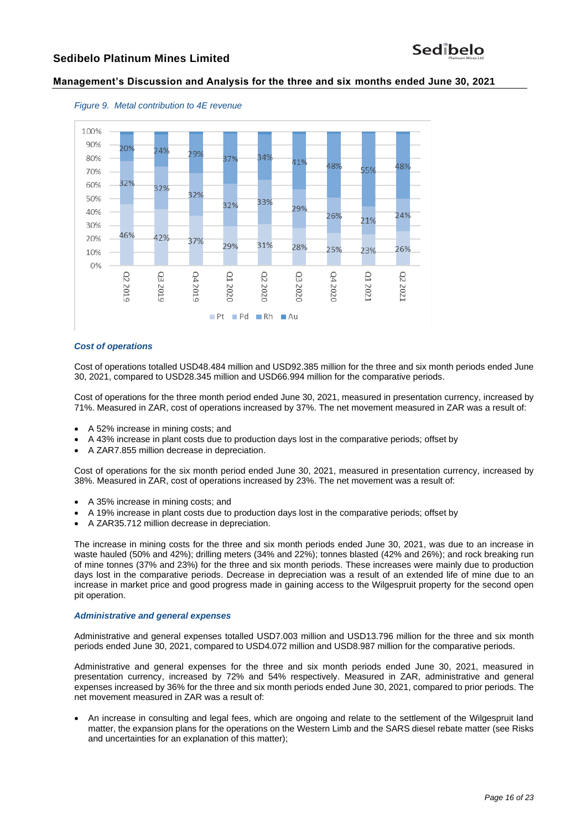## **Management's Discussion and Analysis for the three and six months ended June 30, 2021**



*Figure 9. Metal contribution to 4E revenue*

#### *Cost of operations*

Cost of operations totalled USD48.484 million and USD92.385 million for the three and six month periods ended June 30, 2021, compared to USD28.345 million and USD66.994 million for the comparative periods.

Cost of operations for the three month period ended June 30, 2021, measured in presentation currency, increased by 71%. Measured in ZAR, cost of operations increased by 37%. The net movement measured in ZAR was a result of:

- A 52% increase in mining costs; and
- A 43% increase in plant costs due to production days lost in the comparative periods; offset by
- A ZAR7.855 million decrease in depreciation.

Cost of operations for the six month period ended June 30, 2021, measured in presentation currency, increased by 38%. Measured in ZAR, cost of operations increased by 23%. The net movement was a result of:

- A 35% increase in mining costs; and
- A 19% increase in plant costs due to production days lost in the comparative periods; offset by
- A ZAR35.712 million decrease in depreciation.

The increase in mining costs for the three and six month periods ended June 30, 2021, was due to an increase in waste hauled (50% and 42%); drilling meters (34% and 22%); tonnes blasted (42% and 26%); and rock breaking run of mine tonnes (37% and 23%) for the three and six month periods. These increases were mainly due to production days lost in the comparative periods. Decrease in depreciation was a result of an extended life of mine due to an increase in market price and good progress made in gaining access to the Wilgespruit property for the second open pit operation.

#### *Administrative and general expenses*

Administrative and general expenses totalled USD7.003 million and USD13.796 million for the three and six month periods ended June 30, 2021, compared to USD4.072 million and USD8.987 million for the comparative periods.

Administrative and general expenses for the three and six month periods ended June 30, 2021, measured in presentation currency, increased by 72% and 54% respectively. Measured in ZAR, administrative and general expenses increased by 36% for the three and six month periods ended June 30, 2021, compared to prior periods. The net movement measured in ZAR was a result of:

• An increase in consulting and legal fees, which are ongoing and relate to the settlement of the Wilgespruit land matter, the expansion plans for the operations on the Western Limb and the SARS diesel rebate matter (see Risks and uncertainties for an explanation of this matter);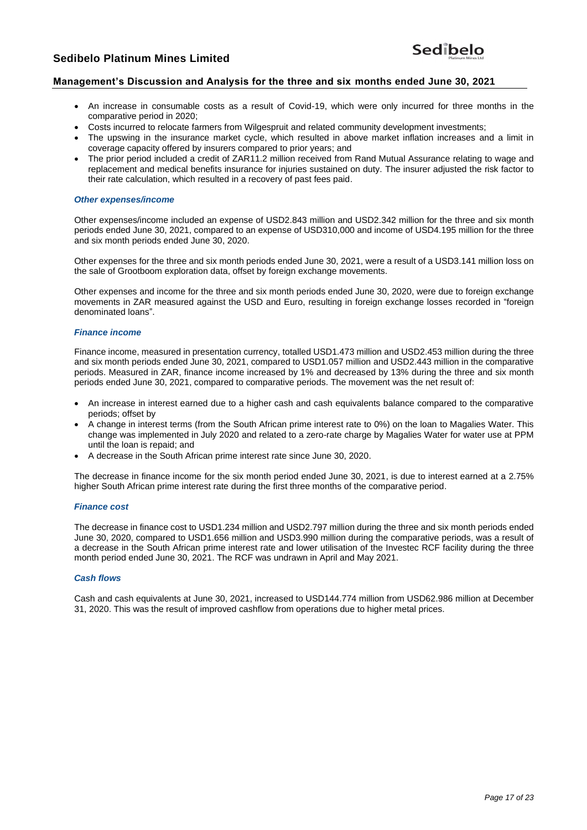# Sedibelo

## **Management's Discussion and Analysis for the three and six months ended June 30, 2021**

- An increase in consumable costs as a result of Covid-19, which were only incurred for three months in the comparative period in 2020;
- Costs incurred to relocate farmers from Wilgespruit and related community development investments;
- The upswing in the insurance market cycle, which resulted in above market inflation increases and a limit in coverage capacity offered by insurers compared to prior years; and
- The prior period included a credit of ZAR11.2 million received from Rand Mutual Assurance relating to wage and replacement and medical benefits insurance for injuries sustained on duty. The insurer adjusted the risk factor to their rate calculation, which resulted in a recovery of past fees paid.

#### *Other expenses/income*

Other expenses/income included an expense of USD2.843 million and USD2.342 million for the three and six month periods ended June 30, 2021, compared to an expense of USD310,000 and income of USD4.195 million for the three and six month periods ended June 30, 2020.

Other expenses for the three and six month periods ended June 30, 2021, were a result of a USD3.141 million loss on the sale of Grootboom exploration data, offset by foreign exchange movements.

Other expenses and income for the three and six month periods ended June 30, 2020, were due to foreign exchange movements in ZAR measured against the USD and Euro, resulting in foreign exchange losses recorded in "foreign denominated loans".

#### *Finance income*

Finance income, measured in presentation currency, totalled USD1.473 million and USD2.453 million during the three and six month periods ended June 30, 2021, compared to USD1.057 million and USD2.443 million in the comparative periods. Measured in ZAR, finance income increased by 1% and decreased by 13% during the three and six month periods ended June 30, 2021, compared to comparative periods. The movement was the net result of:

- An increase in interest earned due to a higher cash and cash equivalents balance compared to the comparative periods; offset by
- A change in interest terms (from the South African prime interest rate to 0%) on the loan to Magalies Water. This change was implemented in July 2020 and related to a zero-rate charge by Magalies Water for water use at PPM until the loan is repaid; and
- A decrease in the South African prime interest rate since June 30, 2020.

The decrease in finance income for the six month period ended June 30, 2021, is due to interest earned at a 2.75% higher South African prime interest rate during the first three months of the comparative period.

#### *Finance cost*

The decrease in finance cost to USD1.234 million and USD2.797 million during the three and six month periods ended June 30, 2020, compared to USD1.656 million and USD3.990 million during the comparative periods, was a result of a decrease in the South African prime interest rate and lower utilisation of the Investec RCF facility during the three month period ended June 30, 2021. The RCF was undrawn in April and May 2021.

#### *Cash flows*

Cash and cash equivalents at June 30, 2021, increased to USD144.774 million from USD62.986 million at December 31, 2020. This was the result of improved cashflow from operations due to higher metal prices.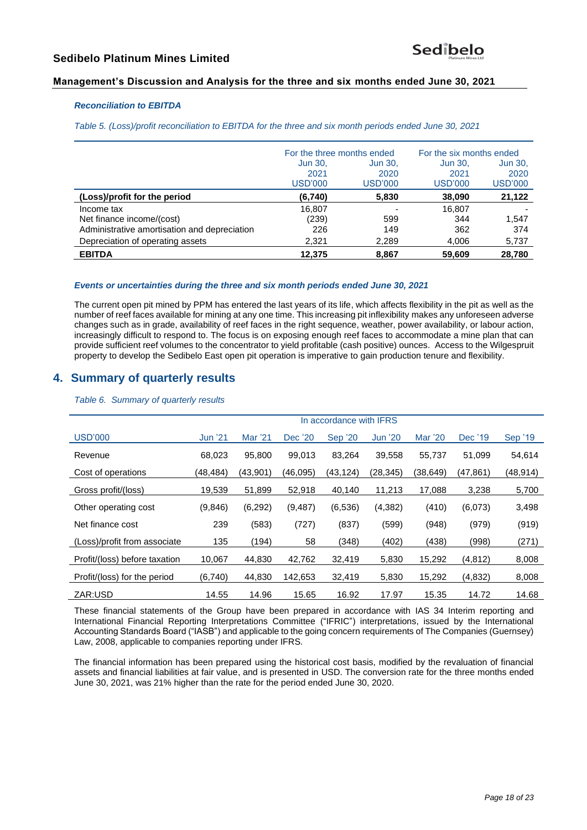## **Management's Discussion and Analysis for the three and six months ended June 30, 2021**

## *Reconciliation to EBITDA*

*Table 5. (Loss)/profit reconciliation to EBITDA for the three and six month periods ended June 30, 2021*

|                                              | For the three months ended |         | For the six months ended |                |
|----------------------------------------------|----------------------------|---------|--------------------------|----------------|
|                                              | Jun 30,                    | Jun 30, | <b>Jun 30,</b>           | <b>Jun 30,</b> |
|                                              | 2021                       | 2020    | 2021                     | 2020           |
|                                              | USD'000                    | USD'000 | USD'000                  | <b>USD'000</b> |
| (Loss)/profit for the period                 | (6,740)                    | 5,830   | 38,090                   | 21,122         |
| Income tax                                   | 16,807                     | -       | 16.807                   |                |
| Net finance income/(cost)                    | (239)                      | 599     | 344                      | 1,547          |
| Administrative amortisation and depreciation | 226                        | 149     | 362                      | 374            |
| Depreciation of operating assets             | 2,321                      | 2,289   | 4.006                    | 5,737          |
| <b>EBITDA</b>                                | 12.375                     | 8.867   | 59,609                   | 28,780         |

## *Events or uncertainties during the three and six month periods ended June 30, 2021*

The current open pit mined by PPM has entered the last years of its life, which affects flexibility in the pit as well as the number of reef faces available for mining at any one time. This increasing pit inflexibility makes any unforeseen adverse changes such as in grade, availability of reef faces in the right sequence, weather, power availability, or labour action, increasingly difficult to respond to. The focus is on exposing enough reef faces to accommodate a mine plan that can provide sufficient reef volumes to the concentrator to yield profitable (cash positive) ounces. Access to the Wilgespruit property to develop the Sedibelo East open pit operation is imperative to gain production tenure and flexibility.

# **4. Summary of quarterly results**

*Table 6. Summary of quarterly results*

|                               | In accordance with IFRS |          |           |                |                |          |          |           |
|-------------------------------|-------------------------|----------|-----------|----------------|----------------|----------|----------|-----------|
| <b>USD'000</b>                | <b>Jun '21</b>          | Mar '21  | Dec '20   | <b>Sep '20</b> | <b>Jun '20</b> | Mar '20  | Dec '19  | Sep '19   |
| Revenue                       | 68,023                  | 95,800   | 99,013    | 83,264         | 39,558         | 55,737   | 51,099   | 54,614    |
| Cost of operations            | (48,484)                | (43,901) | (46, 095) | (43, 124)      | (28,345)       | (38,649) | (47,861) | (48, 914) |
| Gross profit/(loss)           | 19,539                  | 51,899   | 52,918    | 40,140         | 11,213         | 17,088   | 3,238    | 5,700     |
| Other operating cost          | (9,846)                 | (6, 292) | (9, 487)  | (6, 536)       | (4, 382)       | (410)    | (6,073)  | 3,498     |
| Net finance cost              | 239                     | (583)    | (727)     | (837)          | (599)          | (948)    | (979)    | (919)     |
| (Loss)/profit from associate  | 135                     | (194)    | 58        | (348)          | (402)          | (438)    | (998)    | (271)     |
| Profit/(loss) before taxation | 10,067                  | 44,830   | 42,762    | 32,419         | 5,830          | 15,292   | (4, 812) | 8,008     |
| Profit/(loss) for the period  | (6,740)                 | 44,830   | 142,653   | 32,419         | 5,830          | 15,292   | (4, 832) | 8,008     |
| ZAR:USD                       | 14.55                   | 14.96    | 15.65     | 16.92          | 17.97          | 15.35    | 14.72    | 14.68     |

These financial statements of the Group have been prepared in accordance with IAS 34 Interim reporting and International Financial Reporting Interpretations Committee ("IFRIC") interpretations, issued by the International Accounting Standards Board ("IASB") and applicable to the going concern requirements of The Companies (Guernsey) Law, 2008, applicable to companies reporting under IFRS.

The financial information has been prepared using the historical cost basis, modified by the revaluation of financial assets and financial liabilities at fair value, and is presented in USD. The conversion rate for the three months ended June 30, 2021, was 21% higher than the rate for the period ended June 30, 2020.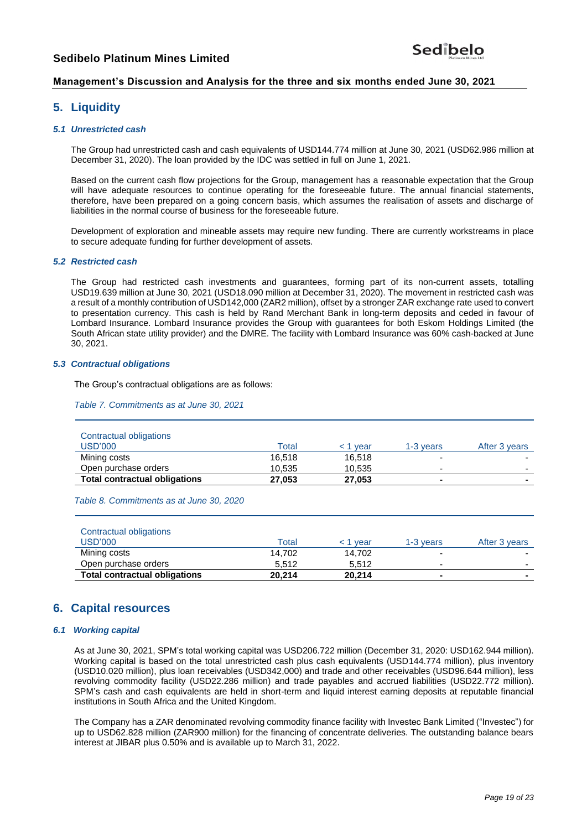## **Management's Discussion and Analysis for the three and six months ended June 30, 2021**

## **5. Liquidity**

#### *5.1 Unrestricted cash*

The Group had unrestricted cash and cash equivalents of USD144.774 million at June 30, 2021 (USD62.986 million at December 31, 2020). The loan provided by the IDC was settled in full on June 1, 2021.

Based on the current cash flow projections for the Group, management has a reasonable expectation that the Group will have adequate resources to continue operating for the foreseeable future. The annual financial statements, therefore, have been prepared on a going concern basis, which assumes the realisation of assets and discharge of liabilities in the normal course of business for the foreseeable future.

Development of exploration and mineable assets may require new funding. There are currently workstreams in place to secure adequate funding for further development of assets.

#### *5.2 Restricted cash*

The Group had restricted cash investments and guarantees, forming part of its non-current assets, totalling USD19.639 million at June 30, 2021 (USD18.090 million at December 31, 2020). The movement in restricted cash was a result of a monthly contribution of USD142,000 (ZAR2 million), offset by a stronger ZAR exchange rate used to convert to presentation currency. This cash is held by Rand Merchant Bank in long-term deposits and ceded in favour of Lombard Insurance. Lombard Insurance provides the Group with guarantees for both Eskom Holdings Limited (the South African state utility provider) and the DMRE. The facility with Lombard Insurance was 60% cash-backed at June 30, 2021.

#### *5.3 Contractual obligations*

The Group's contractual obligations are as follows:

*Table 7. Commitments as at June 30, 2021*

| Contractual obligations<br>USD'000   | Total  | < 1 year | 1-3 years | After 3 years |
|--------------------------------------|--------|----------|-----------|---------------|
| Mining costs                         | 16.518 | 16,518   |           |               |
| Open purchase orders                 | 10.535 | 10.535   |           | -             |
| <b>Total contractual obligations</b> | 27,053 | 27.053   |           |               |

*Table 8. Commitments as at June 30, 2020*

| Contractual obligations              |        |          |                |                          |
|--------------------------------------|--------|----------|----------------|--------------------------|
| USD'000                              | Total  | < 1 vear | 1-3 vears      | After 3 years            |
| Mining costs                         | 14.702 | 14.702   | -              |                          |
| Open purchase orders                 | 5.512  | 5.512    | -              | $\overline{\phantom{0}}$ |
| <b>Total contractual obligations</b> | 20.214 | 20.214   | $\blacksquare$ |                          |

# **6. Capital resources**

#### *6.1 Working capital*

As at June 30, 2021, SPM's total working capital was USD206.722 million (December 31, 2020: USD162.944 million). Working capital is based on the total unrestricted cash plus cash equivalents (USD144.774 million), plus inventory (USD10.020 million), plus loan receivables (USD342,000) and trade and other receivables (USD96.644 million), less revolving commodity facility (USD22.286 million) and trade payables and accrued liabilities (USD22.772 million). SPM's cash and cash equivalents are held in short-term and liquid interest earning deposits at reputable financial institutions in South Africa and the United Kingdom.

The Company has a ZAR denominated revolving commodity finance facility with Investec Bank Limited ("Investec") for up to USD62.828 million (ZAR900 million) for the financing of concentrate deliveries. The outstanding balance bears interest at JIBAR plus 0.50% and is available up to March 31, 2022.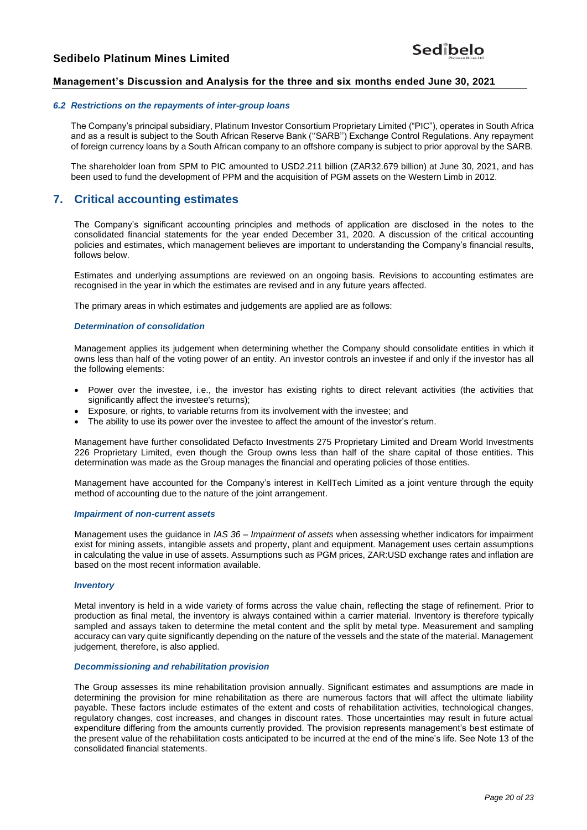## **Management's Discussion and Analysis for the three and six months ended June 30, 2021**

#### *6.2 Restrictions on the repayments of inter-group loans*

The Company's principal subsidiary, Platinum Investor Consortium Proprietary Limited ("PIC"), operates in South Africa and as a result is subject to the South African Reserve Bank (''SARB'') Exchange Control Regulations. Any repayment of foreign currency loans by a South African company to an offshore company is subject to prior approval by the SARB.

The shareholder loan from SPM to PIC amounted to USD2.211 billion (ZAR32.679 billion) at June 30, 2021, and has been used to fund the development of PPM and the acquisition of PGM assets on the Western Limb in 2012.

# **7. Critical accounting estimates**

The Company's significant accounting principles and methods of application are disclosed in the notes to the consolidated financial statements for the year ended December 31, 2020. A discussion of the critical accounting policies and estimates, which management believes are important to understanding the Company's financial results, follows below.

Estimates and underlying assumptions are reviewed on an ongoing basis. Revisions to accounting estimates are recognised in the year in which the estimates are revised and in any future years affected.

The primary areas in which estimates and judgements are applied are as follows:

#### *Determination of consolidation*

Management applies its judgement when determining whether the Company should consolidate entities in which it owns less than half of the voting power of an entity. An investor controls an investee if and only if the investor has all the following elements:

- Power over the investee, i.e., the investor has existing rights to direct relevant activities (the activities that significantly affect the investee's returns);
- Exposure, or rights, to variable returns from its involvement with the investee; and
- The ability to use its power over the investee to affect the amount of the investor's return.

Management have further consolidated Defacto Investments 275 Proprietary Limited and Dream World Investments 226 Proprietary Limited, even though the Group owns less than half of the share capital of those entities. This determination was made as the Group manages the financial and operating policies of those entities.

Management have accounted for the Company's interest in KellTech Limited as a joint venture through the equity method of accounting due to the nature of the joint arrangement.

#### *Impairment of non-current assets*

Management uses the guidance in *IAS 36 – Impairment of assets* when assessing whether indicators for impairment exist for mining assets, intangible assets and property, plant and equipment. Management uses certain assumptions in calculating the value in use of assets. Assumptions such as PGM prices, ZAR:USD exchange rates and inflation are based on the most recent information available.

#### *Inventory*

Metal inventory is held in a wide variety of forms across the value chain, reflecting the stage of refinement. Prior to production as final metal, the inventory is always contained within a carrier material. Inventory is therefore typically sampled and assays taken to determine the metal content and the split by metal type. Measurement and sampling accuracy can vary quite significantly depending on the nature of the vessels and the state of the material. Management judgement, therefore, is also applied.

#### *Decommissioning and rehabilitation provision*

The Group assesses its mine rehabilitation provision annually. Significant estimates and assumptions are made in determining the provision for mine rehabilitation as there are numerous factors that will affect the ultimate liability payable. These factors include estimates of the extent and costs of rehabilitation activities, technological changes, regulatory changes, cost increases, and changes in discount rates. Those uncertainties may result in future actual expenditure differing from the amounts currently provided. The provision represents management's best estimate of the present value of the rehabilitation costs anticipated to be incurred at the end of the mine's life. See Note 13 of the consolidated financial statements.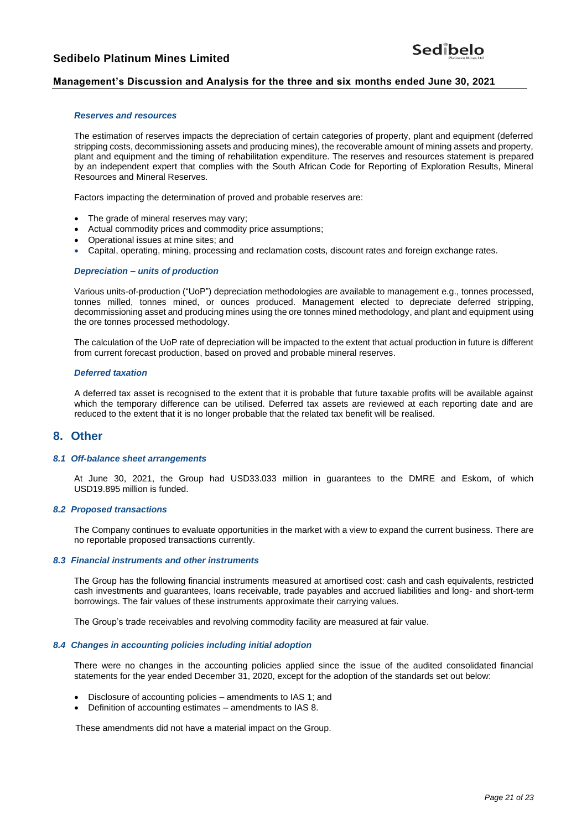## **Management's Discussion and Analysis for the three and six months ended June 30, 2021**

#### *Reserves and resources*

The estimation of reserves impacts the depreciation of certain categories of property, plant and equipment (deferred stripping costs, decommissioning assets and producing mines), the recoverable amount of mining assets and property, plant and equipment and the timing of rehabilitation expenditure. The reserves and resources statement is prepared by an independent expert that complies with the South African Code for Reporting of Exploration Results, Mineral Resources and Mineral Reserves.

Factors impacting the determination of proved and probable reserves are:

- The grade of mineral reserves may vary;
- Actual commodity prices and commodity price assumptions;
- Operational issues at mine sites; and
- Capital, operating, mining, processing and reclamation costs, discount rates and foreign exchange rates.

#### *Depreciation – units of production*

Various units-of-production ("UoP") depreciation methodologies are available to management e.g., tonnes processed, tonnes milled, tonnes mined, or ounces produced. Management elected to depreciate deferred stripping, decommissioning asset and producing mines using the ore tonnes mined methodology, and plant and equipment using the ore tonnes processed methodology.

The calculation of the UoP rate of depreciation will be impacted to the extent that actual production in future is different from current forecast production, based on proved and probable mineral reserves.

#### *Deferred taxation*

A deferred tax asset is recognised to the extent that it is probable that future taxable profits will be available against which the temporary difference can be utilised. Deferred tax assets are reviewed at each reporting date and are reduced to the extent that it is no longer probable that the related tax benefit will be realised.

## **8. Other**

## *8.1 Off-balance sheet arrangements*

At June 30, 2021, the Group had USD33.033 million in guarantees to the DMRE and Eskom, of which USD19.895 million is funded.

#### *8.2 Proposed transactions*

The Company continues to evaluate opportunities in the market with a view to expand the current business. There are no reportable proposed transactions currently.

#### *8.3 Financial instruments and other instruments*

The Group has the following financial instruments measured at amortised cost: cash and cash equivalents, restricted cash investments and guarantees, loans receivable, trade payables and accrued liabilities and long- and short-term borrowings. The fair values of these instruments approximate their carrying values.

The Group's trade receivables and revolving commodity facility are measured at fair value.

#### *8.4 Changes in accounting policies including initial adoption*

There were no changes in the accounting policies applied since the issue of the audited consolidated financial statements for the year ended December 31, 2020, except for the adoption of the standards set out below:

- Disclosure of accounting policies amendments to IAS 1; and
- Definition of accounting estimates amendments to IAS 8.

These amendments did not have a material impact on the Group.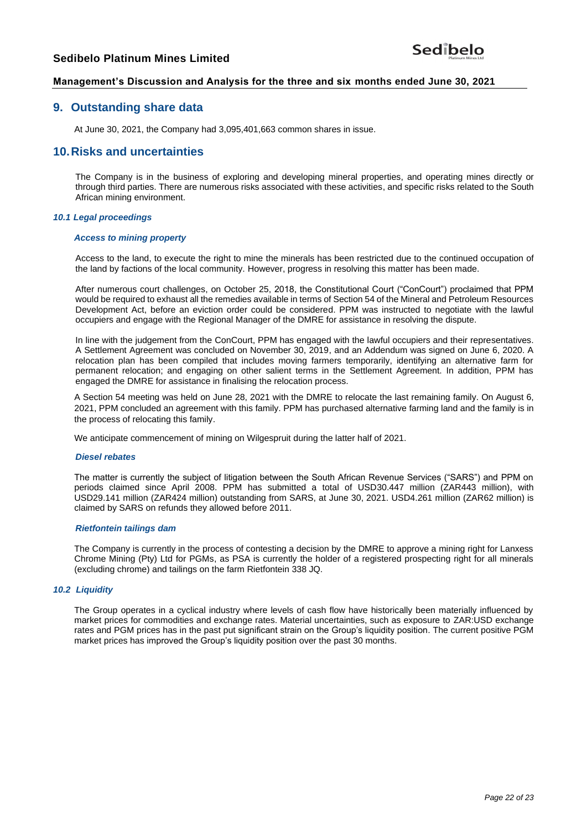## **Management's Discussion and Analysis for the three and six months ended June 30, 2021**

# **9. Outstanding share data**

At June 30, 2021, the Company had 3,095,401,663 common shares in issue.

## **10.Risks and uncertainties**

The Company is in the business of exploring and developing mineral properties, and operating mines directly or through third parties. There are numerous risks associated with these activities, and specific risks related to the South African mining environment.

#### *10.1 Legal proceedings*

#### *Access to mining property*

Access to the land, to execute the right to mine the minerals has been restricted due to the continued occupation of the land by factions of the local community. However, progress in resolving this matter has been made.

After numerous court challenges, on October 25, 2018, the Constitutional Court ("ConCourt") proclaimed that PPM would be required to exhaust all the remedies available in terms of Section 54 of the Mineral and Petroleum Resources Development Act, before an eviction order could be considered. PPM was instructed to negotiate with the lawful occupiers and engage with the Regional Manager of the DMRE for assistance in resolving the dispute.

In line with the judgement from the ConCourt, PPM has engaged with the lawful occupiers and their representatives. A Settlement Agreement was concluded on November 30, 2019, and an Addendum was signed on June 6, 2020. A relocation plan has been compiled that includes moving farmers temporarily, identifying an alternative farm for permanent relocation; and engaging on other salient terms in the Settlement Agreement. In addition, PPM has engaged the DMRE for assistance in finalising the relocation process.

A Section 54 meeting was held on June 28, 2021 with the DMRE to relocate the last remaining family. On August 6, 2021, PPM concluded an agreement with this family. PPM has purchased alternative farming land and the family is in the process of relocating this family.

We anticipate commencement of mining on Wilgespruit during the latter half of 2021.

#### *Diesel rebates*

The matter is currently the subject of litigation between the South African Revenue Services ("SARS") and PPM on periods claimed since April 2008. PPM has submitted a total of USD30.447 million (ZAR443 million), with USD29.141 million (ZAR424 million) outstanding from SARS, at June 30, 2021. USD4.261 million (ZAR62 million) is claimed by SARS on refunds they allowed before 2011.

#### *Rietfontein tailings dam*

The Company is currently in the process of contesting a decision by the DMRE to approve a mining right for Lanxess Chrome Mining (Pty) Ltd for PGMs, as PSA is currently the holder of a registered prospecting right for all minerals (excluding chrome) and tailings on the farm Rietfontein 338 JQ.

#### *10.2 Liquidity*

The Group operates in a cyclical industry where levels of cash flow have historically been materially influenced by market prices for commodities and exchange rates. Material uncertainties, such as exposure to ZAR:USD exchange rates and PGM prices has in the past put significant strain on the Group's liquidity position. The current positive PGM market prices has improved the Group's liquidity position over the past 30 months.